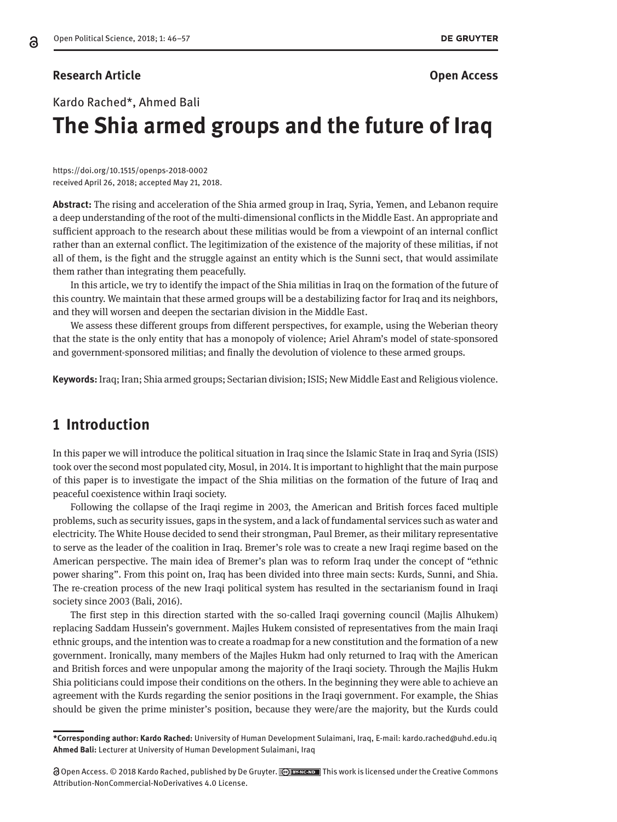#### **Research Article Open Access**

#### Kardo Rached\*, Ahmed Bali

# **The Shia armed groups and the future of Iraq**

https://doi.org/10.1515/openps-2018-0002 received April 26, 2018; accepted May 21, 2018.

**Abstract:** The rising and acceleration of the Shia armed group in Iraq, Syria, Yemen, and Lebanon require a deep understanding of the root of the multi-dimensional conflicts in the Middle East. An appropriate and and<br>The First Decade (1964-1972) and the First Decade (1964-1974) and the First Decade (1964-1973) and the First D sufficient approach to the research about these militias would be from a viewpoint of an internal conflict rather than an external conflict. The legitimization of the existence of the majority of these militias, if not all of them, is the fight and the struggle against an entity which is the Sunni sect, that would assimilate them rather than integrating them peacefully.

In this article, we try to identify the impact of the Shia militias in Iraq on the formation of the future of In this article, we try to identify the impact of the Shia militias in Iraq on the formation of the future of<br>this country. We maintain that these armed groups will be a destabilizing factor for Iraq and its neighbors, and they will worsen and deepen the sectarian division in the Middle East.

We assess these different groups from different perspectives, for example, using the Weberian theory<br>that the state is the only entity that has a monopoly of violence: Ariel Ahram's model of state-sponsored that the state is the only entity that has a monopoly of violence; Ariel Ahram's model of state-sponsored and government-sponsored militias; and finally the devolution of violence to these armed groups.

**Keywords:** Iraq; Iran; Shia armed groups; Sectarian division; ISIS; New Middle East and Religious violence. **Comparison**

#### **1 Introduction** ethischen Vergleich

Road Keelung 20224, Taiwan (R.O.C), e-mail: email@mail.com

In this paper we will introduce the political situation in Iraq since the Islamic State in Iraq and Syria (ISIS) took over the second most populated city, Mosul, in 2014. It is important to highlight that the main purpose of this paper is to investigate the impact of the Shia militias on the formation of the future of Iraq and peaceful coexistence within Iraqi society.

Following the collapse of the Iraqi regime in 2003, the American and British forces faced multiple problems, such as security issues, gaps in the system, and a lack of fundamental services such as water and electricity. The White House decided to send their strongman, Paul Bremer, as their military representative to serve as the leader of the coalition in Iraq. Bremer's role was to create a new Iraqi regime based on the American perspective. The main idea of Bremer's plan was to reform Iraq under the concept of "ethnic power sharing". From this point on, Iraq has been divided into three main sects: Kurds, Sunni, and Shia. The re-creation process of the new Iraqi political system has resulted in the sectarianism found in Iraqi society since 2003 (Bali, 2016).

The first step in this direction started with the so-called Iraqi governing council (Majlis Alhukem) rne first step in this direction started with the so-called fraqi governing councit (majlis Alnukem)<br>replacing Saddam Hussein's government. Majles Hukem consisted of representatives from the main Iraqi ethnic groups, and the intention was to create a roadmap for a new constitution and the formation of a new government. Ironically, many members of the Majles Hukm had only returned to Iraq with the American and British forces and were unpopular among the majority of the Iraqi society. Through the Majlis Hukm Shia politicians could impose their conditions on the others. In the beginning they were able to achieve an agreement with the Kurds regarding the senior positions in the Iraqi government. For example, the Shias should be given the prime minister's position, because they were/are the majority, but the Kurds could **\*Max Musterman:** Institute of Marine Biology, National Taiwan Ocean University, 2 Pei-Ning

**<sup>\*</sup>Corresponding author: Kardo Rached:** University of Human Development Sulaimani, Iraq, E-mail: kardo.rached@uhd.edu.iq **Ahmed Bali:** Lecturer at University of Human Development Sulaimani, Iraq

<sup>(3</sup> Open Access. © 2018 Kardo Rached, published by De Gruyter. <mark>@ கூடை )</mark> This work is licensed under the Creative Commons Attribution-NonCommercial-NoDerivatives 4.0 License.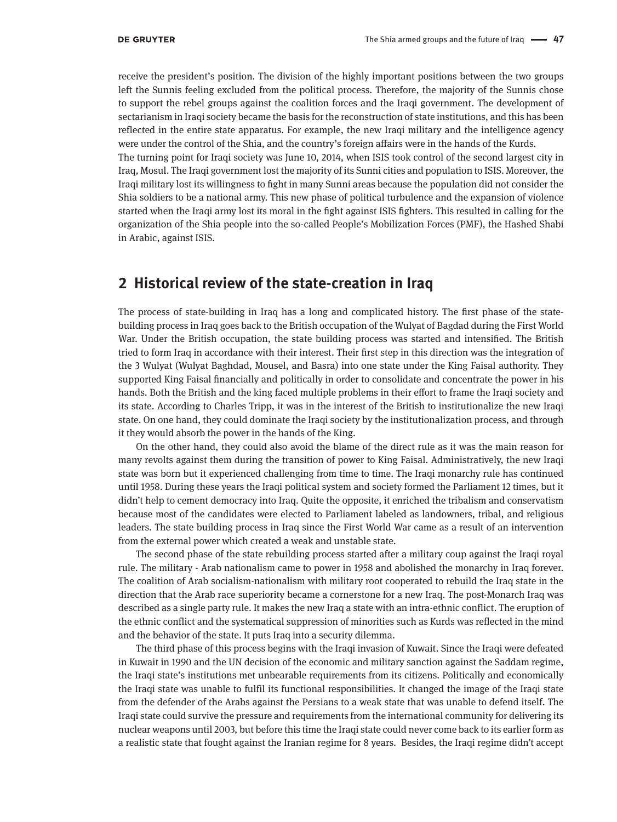receive the president's position. The division of the highly important positions between the two groups left the Sunnis feeling excluded from the political process. Therefore, the majority of the Sunnis chose to support the rebel groups against the coalition forces and the Iraqi government. The development of sectarianism in Iraqi society became the basis for the reconstruction of state institutions, and this has been reflected in the entire state apparatus. For example, the new Iraqi military and the intelligence agency were under the control of the Shia, and the country's foreign affairs were in the hands of the Kurds.

The turning point for Iraqi society was June 10, 2014, when ISIS took control of the second largest city in Iraq, Mosul. The Iraqi government lost the majority of its Sunni cities and population to ISIS. Moreover, the Iraqi military lost its willingness to fight in many Sunni areas because the population did not consider the Shia soldiers to be a national army. This new phase of political turbulence and the expansion of violence started when the Iraqi army lost its moral in the fight against ISIS fighters. This resulted in calling for the organization of the Shia people into the so-called People's Mobilization Forces (PMF), the Hashed Shabi in Arabic, against ISIS.

#### **2 Historical review of the state-creation in Iraq**

The process of state-building in Iraq has a long and complicated history. The first phase of the statebuilding process in Iraq goes back to the British occupation of the Wulyat of Bagdad during the First World War. Under the British occupation, the state building process was started and intensified. The British tried to form Iraq in accordance with their interest. Their first step in this direction was the integration of the 3 Wulyat (Wulyat Baghdad, Mousel, and Basra) into one state under the King Faisal authority. They supported King Faisal financially and politically in order to consolidate and concentrate the power in his hands. Both the British and the king faced multiple problems in their effort to frame the Iraqi society and its state. According to Charles Tripp, it was in the interest of the British to institutionalize the new Iraqi state. On one hand, they could dominate the Iraqi society by the institutionalization process, and through it they would absorb the power in the hands of the King.

On the other hand, they could also avoid the blame of the direct rule as it was the main reason for many revolts against them during the transition of power to King Faisal. Administratively, the new Iraqi state was born but it experienced challenging from time to time. The Iraqi monarchy rule has continued until 1958. During these years the Iraqi political system and society formed the Parliament 12 times, but it didn't help to cement democracy into Iraq. Quite the opposite, it enriched the tribalism and conservatism because most of the candidates were elected to Parliament labeled as landowners, tribal, and religious leaders. The state building process in Iraq since the First World War came as a result of an intervention from the external power which created a weak and unstable state.

The second phase of the state rebuilding process started after a military coup against the Iraqi royal rule. The military - Arab nationalism came to power in 1958 and abolished the monarchy in Iraq forever. The coalition of Arab socialism-nationalism with military root cooperated to rebuild the Iraq state in the direction that the Arab race superiority became a cornerstone for a new Iraq. The post-Monarch Iraq was described as a single party rule. It makes the new Iraq a state with an intra-ethnic conflict. The eruption of the ethnic conflict and the systematical suppression of minorities such as Kurds was reflected in the mind and the behavior of the state. It puts Iraq into a security dilemma.

The third phase of this process begins with the Iraqi invasion of Kuwait. Since the Iraqi were defeated in Kuwait in 1990 and the UN decision of the economic and military sanction against the Saddam regime, the Iraqi state's institutions met unbearable requirements from its citizens. Politically and economically the Iraqi state was unable to fulfil its functional responsibilities. It changed the image of the Iraqi state from the defender of the Arabs against the Persians to a weak state that was unable to defend itself. The Iraqi state could survive the pressure and requirements from the international community for delivering its nuclear weapons until 2003, but before this time the Iraqi state could never come back to its earlier form as a realistic state that fought against the Iranian regime for 8 years. Besides, the Iraqi regime didn't accept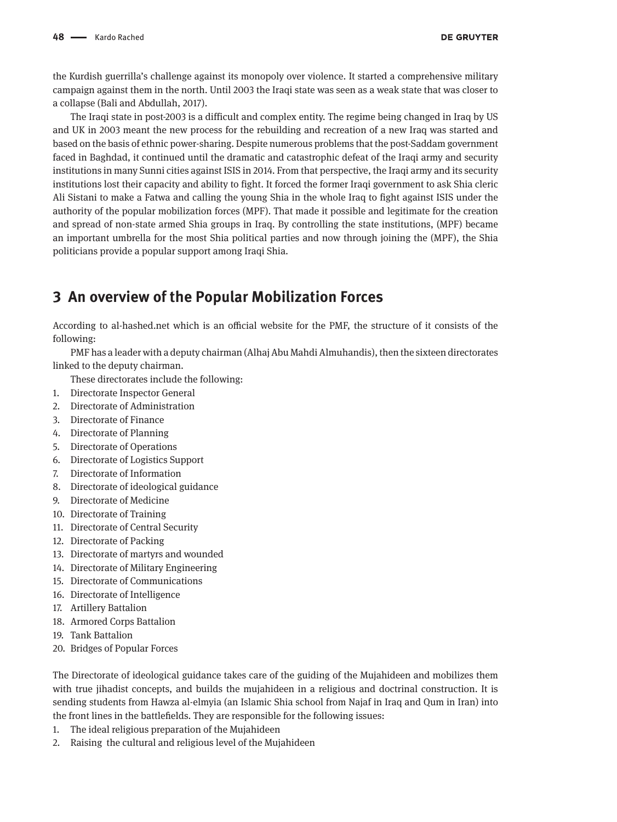the Kurdish guerrilla's challenge against its monopoly over violence. It started a comprehensive military campaign against them in the north. Until 2003 the Iraqi state was seen as a weak state that was closer to a collapse (Bali and Abdullah, 2017).

The Iraqi state in post-2003 is a difficult and complex entity. The regime being changed in Iraq by US and UK in 2003 meant the new process for the rebuilding and recreation of a new Iraq was started and based on the basis of ethnic power-sharing. Despite numerous problems that the post-Saddam government faced in Baghdad, it continued until the dramatic and catastrophic defeat of the Iraqi army and security institutions in many Sunni cities against ISIS in 2014. From that perspective, the Iraqi army and its security institutions lost their capacity and ability to fight. It forced the former Iraqi government to ask Shia cleric Ali Sistani to make a Fatwa and calling the young Shia in the whole Iraq to fight against ISIS under the authority of the popular mobilization forces (MPF). That made it possible and legitimate for the creation and spread of non-state armed Shia groups in Iraq. By controlling the state institutions, (MPF) became an important umbrella for the most Shia political parties and now through joining the (MPF), the Shia politicians provide a popular support among Iraqi Shia.

### **3 An overview of the Popular Mobilization Forces**

According to al-hashed.net which is an official website for the PMF, the structure of it consists of the following:

PMF has a leader with a deputy chairman (Alhaj Abu Mahdi Almuhandis), then the sixteen directorates linked to the deputy chairman.

These directorates include the following:

- 1. Directorate Inspector General
- 2. Directorate of Administration
- 3. Directorate of Finance
- 4. Directorate of Planning
- 5. Directorate of Operations
- 6. Directorate of Logistics Support
- 7. Directorate of Information
- 8. Directorate of ideological guidance
- 9. Directorate of Medicine
- 10. Directorate of Training
- 11. Directorate of Central Security
- 12. Directorate of Packing
- 13. Directorate of martyrs and wounded
- 14. Directorate of Military Engineering
- 15. Directorate of Communications
- 16. Directorate of Intelligence
- 17. Artillery Battalion
- 18. Armored Corps Battalion
- 19. Tank Battalion
- 20. Bridges of Popular Forces

The Directorate of ideological guidance takes care of the guiding of the Mujahideen and mobilizes them with true jihadist concepts, and builds the mujahideen in a religious and doctrinal construction. It is sending students from Hawza al-elmyia (an Islamic Shia school from Najaf in Iraq and Qum in Iran) into the front lines in the battlefields. They are responsible for the following issues:

- 1. The ideal religious preparation of the Mujahideen
- 2. Raising the cultural and religious level of the Mujahideen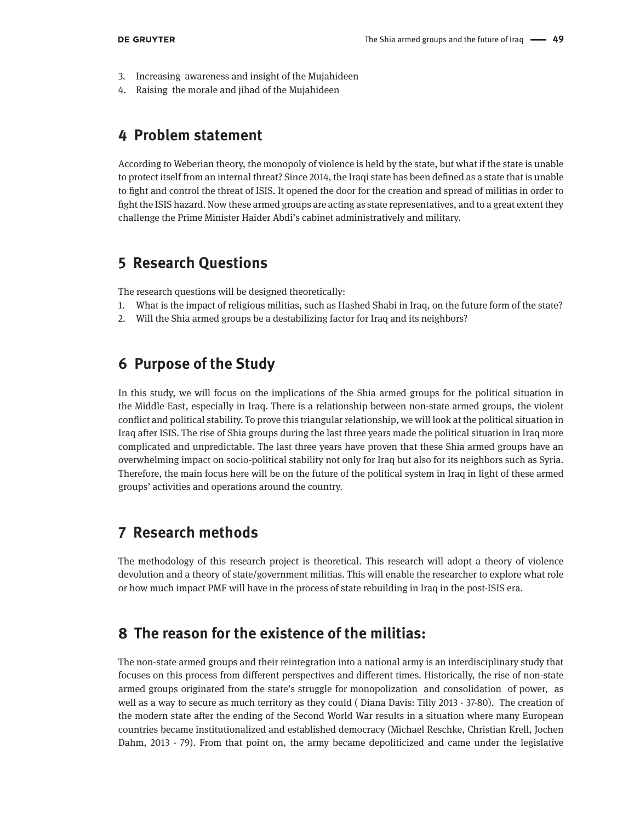- 3. Increasing awareness and insight of the Mujahideen
- 4. Raising the morale and jihad of the Mujahideen

#### **4 Problem statement**

According to Weberian theory, the monopoly of violence is held by the state, but what if the state is unable to protect itself from an internal threat? Since 2014, the Iraqi state has been defined as a state that is unable to fight and control the threat of ISIS. It opened the door for the creation and spread of militias in order to fight the ISIS hazard. Now these armed groups are acting as state representatives, and to a great extent they challenge the Prime Minister Haider Abdi's cabinet administratively and military.

#### **5 Research Questions**

The research questions will be designed theoretically:

- 1. What is the impact of religious militias, such as Hashed Shabi in Iraq, on the future form of the state?
- 2. Will the Shia armed groups be a destabilizing factor for Iraq and its neighbors?

### **6 Purpose of the Study**

In this study, we will focus on the implications of the Shia armed groups for the political situation in the Middle East, especially in Iraq. There is a relationship between non-state armed groups, the violent conflict and political stability. To prove this triangular relationship, we will look at the political situation in Iraq after ISIS. The rise of Shia groups during the last three years made the political situation in Iraq more complicated and unpredictable. The last three years have proven that these Shia armed groups have an overwhelming impact on socio-political stability not only for Iraq but also for its neighbors such as Syria. Therefore, the main focus here will be on the future of the political system in Iraq in light of these armed groups' activities and operations around the country.

# **7 Research methods**

The methodology of this research project is theoretical. This research will adopt a theory of violence devolution and a theory of state/government militias. This will enable the researcher to explore what role or how much impact PMF will have in the process of state rebuilding in Iraq in the post-ISIS era.

#### **8 The reason for the existence of the militias:**

The non-state armed groups and their reintegration into a national army is an interdisciplinary study that focuses on this process from different perspectives and different times. Historically, the rise of non-state armed groups originated from the state's struggle for monopolization and consolidation of power, as well as a way to secure as much territory as they could ( Diana Davis: Tilly 2013 - 37-80). The creation of the modern state after the ending of the Second World War results in a situation where many European countries became institutionalized and established democracy (Michael Reschke, Christian Krell, Jochen Dahm, 2013 - 79). From that point on, the army became depoliticized and came under the legislative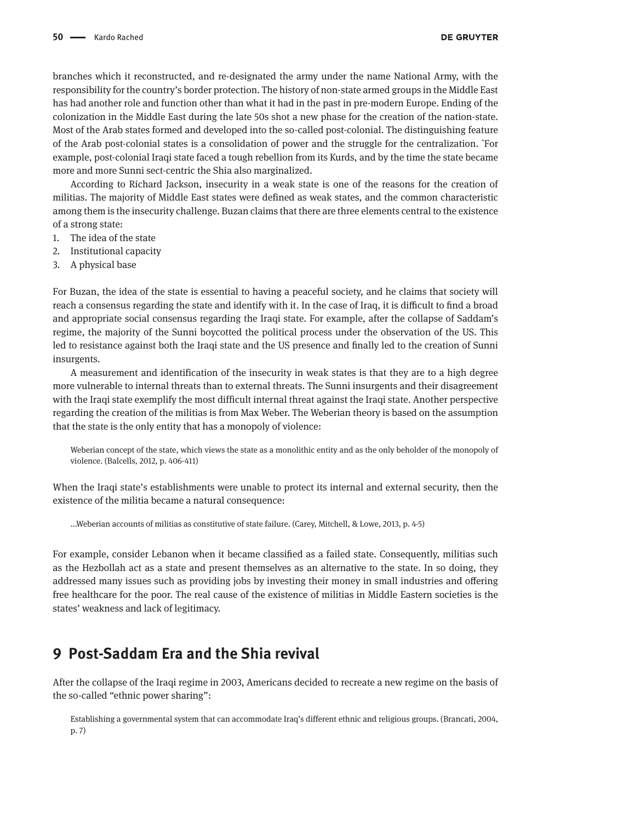branches which it reconstructed, and re-designated the army under the name National Army, with the responsibility for the country's border protection. The history of non-state armed groups in the Middle East has had another role and function other than what it had in the past in pre-modern Europe. Ending of the colonization in the Middle East during the late 50s shot a new phase for the creation of the nation-state. Most of the Arab states formed and developed into the so-called post-colonial. The distinguishing feature of the Arab post-colonial states is a consolidation of power and the struggle for the centralization. `For example, post-colonial Iraqi state faced a tough rebellion from its Kurds, and by the time the state became more and more Sunni sect-centric the Shia also marginalized.

According to Richard Jackson, insecurity in a weak state is one of the reasons for the creation of militias. The majority of Middle East states were defined as weak states, and the common characteristic among them is the insecurity challenge. Buzan claims that there are three elements central to the existence of a strong state:

- 1. The idea of the state
- 2. Institutional capacity
- 3. A physical base

For Buzan, the idea of the state is essential to having a peaceful society, and he claims that society will reach a consensus regarding the state and identify with it. In the case of Iraq, it is difficult to find a broad and appropriate social consensus regarding the Iraqi state. For example, after the collapse of Saddam's regime, the majority of the Sunni boycotted the political process under the observation of the US. This led to resistance against both the Iraqi state and the US presence and finally led to the creation of Sunni insurgents.

A measurement and identification of the insecurity in weak states is that they are to a high degree more vulnerable to internal threats than to external threats. The Sunni insurgents and their disagreement with the Iraqi state exemplify the most difficult internal threat against the Iraqi state. Another perspective regarding the creation of the militias is from Max Weber. The Weberian theory is based on the assumption that the state is the only entity that has a monopoly of violence:

Weberian concept of the state, which views the state as a monolithic entity and as the only beholder of the monopoly of violence. (Balcells, 2012, p. 406-411)

When the Iraqi state's establishments were unable to protect its internal and external security, then the existence of the militia became a natural consequence:

...Weberian accounts of militias as constitutive of state failure. (Carey, Mitchell, & Lowe, 2013, p. 4-5)

For example, consider Lebanon when it became classified as a failed state. Consequently, militias such as the Hezbollah act as a state and present themselves as an alternative to the state. In so doing, they addressed many issues such as providing jobs by investing their money in small industries and offering free healthcare for the poor. The real cause of the existence of militias in Middle Eastern societies is the states' weakness and lack of legitimacy.

#### **9 Post-Saddam Era and the Shia revival**

After the collapse of the Iraqi regime in 2003, Americans decided to recreate a new regime on the basis of the so-called "ethnic power sharing":

Establishing a governmental system that can accommodate Iraq's different ethnic and religious groups. (Brancati, 2004, p. 7)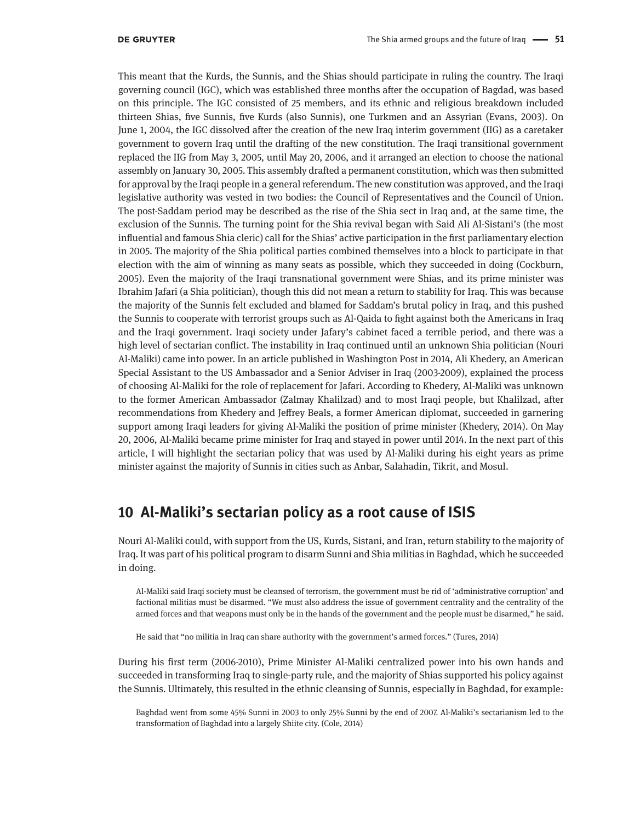This meant that the Kurds, the Sunnis, and the Shias should participate in ruling the country. The Iraqi governing council (IGC), which was established three months after the occupation of Bagdad, was based on this principle. The IGC consisted of 25 members, and its ethnic and religious breakdown included thirteen Shias, five Sunnis, five Kurds (also Sunnis), one Turkmen and an Assyrian (Evans, 2003). On June 1, 2004, the IGC dissolved after the creation of the new Iraq interim government (IIG) as a caretaker government to govern Iraq until the drafting of the new constitution. The Iraqi transitional government replaced the IIG from May 3, 2005, until May 20, 2006, and it arranged an election to choose the national assembly on January 30, 2005. This assembly drafted a permanent constitution, which was then submitted for approval by the Iraqi people in a general referendum. The new constitution was approved, and the Iraqi legislative authority was vested in two bodies: the Council of Representatives and the Council of Union. The post-Saddam period may be described as the rise of the Shia sect in Iraq and, at the same time, the exclusion of the Sunnis. The turning point for the Shia revival began with Said Ali Al-Sistani's (the most influential and famous Shia cleric) call for the Shias' active participation in the first parliamentary election in 2005. The majority of the Shia political parties combined themselves into a block to participate in that election with the aim of winning as many seats as possible, which they succeeded in doing (Cockburn, 2005). Even the majority of the Iraqi transnational government were Shias, and its prime minister was Ibrahim Jafari (a Shia politician), though this did not mean a return to stability for Iraq. This was because the majority of the Sunnis felt excluded and blamed for Saddam's brutal policy in Iraq, and this pushed the Sunnis to cooperate with terrorist groups such as Al-Qaida to fight against both the Americans in Iraq and the Iraqi government. Iraqi society under Jafary's cabinet faced a terrible period, and there was a high level of sectarian conflict. The instability in Iraq continued until an unknown Shia politician (Nouri Al-Maliki) came into power. In an article published in Washington Post in 2014, Ali Khedery, an American Special Assistant to the US Ambassador and a Senior Adviser in Iraq (2003-2009), explained the process of choosing Al-Maliki for the role of replacement for Jafari. According to Khedery, Al-Maliki was unknown to the former American Ambassador (Zalmay Khalilzad) and to most Iraqi people, but Khalilzad, after recommendations from Khedery and Jeffrey Beals, a former American diplomat, succeeded in garnering support among Iraqi leaders for giving Al-Maliki the position of prime minister (Khedery, 2014). On May 20, 2006, Al-Maliki became prime minister for Iraq and stayed in power until 2014. In the next part of this article, I will highlight the sectarian policy that was used by Al-Maliki during his eight years as prime minister against the majority of Sunnis in cities such as Anbar, Salahadin, Tikrit, and Mosul.

### **10 Al-Maliki's sectarian policy as a root cause of ISIS**

Nouri Al-Maliki could, with support from the US, Kurds, Sistani, and Iran, return stability to the majority of Iraq. It was part of his political program to disarm Sunni and Shia militias in Baghdad, which he succeeded in doing.

Al-Maliki said Iraqi society must be cleansed of terrorism, the government must be rid of 'administrative corruption' and factional militias must be disarmed. "We must also address the issue of government centrality and the centrality of the armed forces and that weapons must only be in the hands of the government and the people must be disarmed," he said.

He said that "no militia in Iraq can share authority with the government's armed forces." (Tures, 2014)

During his first term (2006-2010), Prime Minister Al-Maliki centralized power into his own hands and succeeded in transforming Iraq to single-party rule, and the majority of Shias supported his policy against the Sunnis. Ultimately, this resulted in the ethnic cleansing of Sunnis, especially in Baghdad, for example:

Baghdad went from some 45% Sunni in 2003 to only 25% Sunni by the end of 2007. Al-Maliki's sectarianism led to the transformation of Baghdad into a largely Shiite city. (Cole, 2014)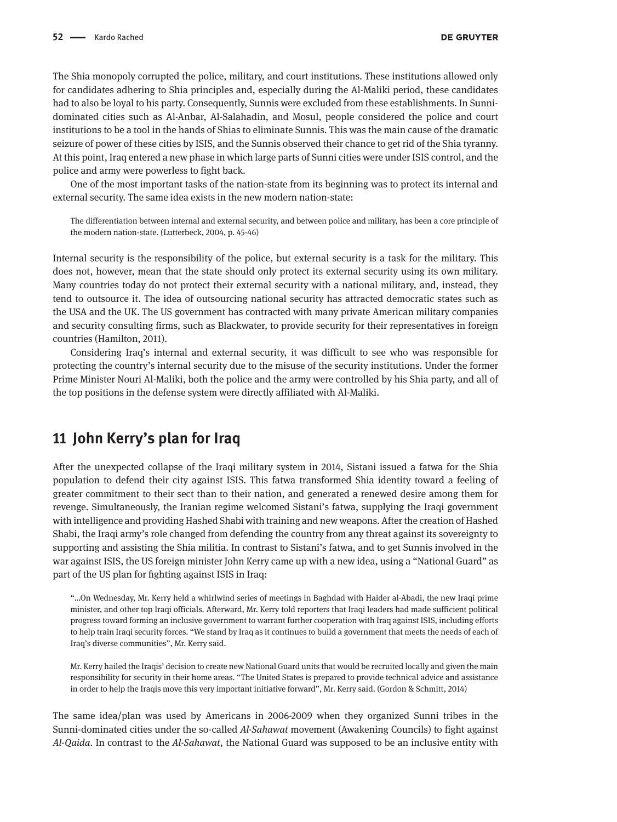The Shia monopoly corrupted the police, military, and court institutions. These institutions allowed only for candidates adhering to Shia principles and, especially during the Al-Maliki period, these candidates had to also be loyal to his party. Consequently, Sunnis were excluded from these establishments. In Sunnidominated cities such as Al-Anbar, Al-Salahadin, and Mosul, people considered the police and court institutions to be a tool in the hands of Shias to eliminate Sunnis. This was the main cause of the dramatic seizure of power of these cities by ISIS, and the Sunnis observed their chance to get rid of the Shia tyranny. At this point, Iraq entered a new phase in which large parts of Sunni cities were under ISIS control, and the police and army were powerless to fight back.

One of the most important tasks of the nation-state from its beginning was to protect its internal and external security. The same idea exists in the new modern nation-state:

The differentiation between internal and external security, and between police and military, has been a core principle of the modern nation-state. (Lutterbeck, 2004, p. 45-46)

Internal security is the responsibility of the police, but external security is a task for the military. This does not, however, mean that the state should only protect its external security using its own military. Many countries today do not protect their external security with a national military, and, instead, they tend to outsource it. The idea of outsourcing national security has attracted democratic states such as the USA and the UK. The US government has contracted with many private American military companies and security consulting firms, such as Blackwater, to provide security for their representatives in foreign countries (Hamilton, 2011).

Considering Iraq's internal and external security, it was difficult to see who was responsible for protecting the country's internal security due to the misuse of the security institutions. Under the former Prime Minister Nouri Al-Maliki, both the police and the army were controlled by his Shia party, and all of the top positions in the defense system were directly affiliated with Al-Maliki.

#### **11 John Kerry's plan for Iraq**

After the unexpected collapse of the Iraqi military system in 2014, Sistani issued a fatwa for the Shia population to defend their city against ISIS. This fatwa transformed Shia identity toward a feeling of greater commitment to their sect than to their nation, and generated a renewed desire among them for revenge. Simultaneously, the Iranian regime welcomed Sistani's fatwa, supplying the Iraqi government with intelligence and providing Hashed Shabi with training and new weapons. After the creation of Hashed Shabi, the Iraqi army's role changed from defending the country from any threat against its sovereignty to supporting and assisting the Shia militia. In contrast to Sistani's fatwa, and to get Sunnis involved in the war against ISIS, the US foreign minister John Kerry came up with a new idea, using a "National Guard" as part of the US plan for fighting against ISIS in Iraq:

"…On Wednesday, Mr. Kerry held a whirlwind series of meetings in Baghdad with Haider al-Abadi, the new Iraqi prime minister, and other top Iraqi officials. Afterward, Mr. Kerry told reporters that Iraqi leaders had made sufficient political progress toward forming an inclusive government to warrant further cooperation with Iraq against ISIS, including efforts to help train Iraqi security forces. "We stand by Iraq as it continues to build a government that meets the needs of each of Iraq's diverse communities", Mr. Kerry said.

Mr. Kerry hailed the Iraqis' decision to create new National Guard units that would be recruited locally and given the main responsibility for security in their home areas. "The United States is prepared to provide technical advice and assistance in order to help the Iraqis move this very important initiative forward", Mr. Kerry said. (Gordon & Schmitt, 2014)

The same idea/plan was used by Americans in 2006-2009 when they organized Sunni tribes in the Sunni-dominated cities under the so-called *Al-Sahawat* movement (Awakening Councils) to fight against *Al-Qaida*. In contrast to the *Al-Sahawat*, the National Guard was supposed to be an inclusive entity with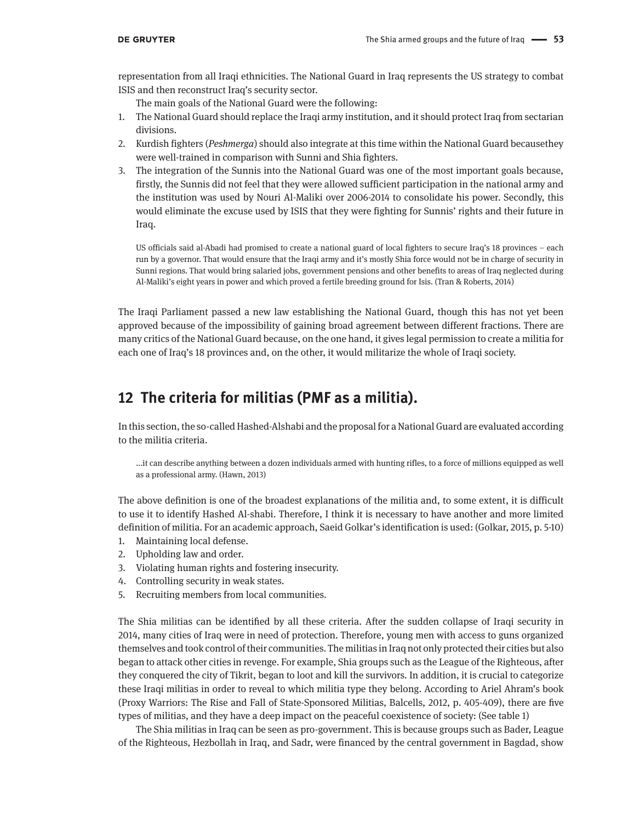representation from all Iraqi ethnicities. The National Guard in Iraq represents the US strategy to combat ISIS and then reconstruct Iraq's security sector.

The main goals of the National Guard were the following:

- 1. The National Guard should replace the Iraqi army institution, and it should protect Iraq from sectarian divisions.
- 2. Kurdish fighters (*Peshmerga*) should also integrate at this time within the National Guard becausethey were well-trained in comparison with Sunni and Shia fighters.
- 3. The integration of the Sunnis into the National Guard was one of the most important goals because, firstly, the Sunnis did not feel that they were allowed sufficient participation in the national army and the institution was used by Nouri Al-Maliki over 2006-2014 to consolidate his power. Secondly, this would eliminate the excuse used by ISIS that they were fighting for Sunnis' rights and their future in Iraq.

US officials said al-Abadi had promised to create a national guard of local fighters to secure Iraq's 18 provinces – each run by a governor. That would ensure that the Iraqi army and it's mostly Shia force would not be in charge of security in Sunni regions. That would bring salaried jobs, government pensions and other benefits to areas of Iraq neglected during Al-Maliki's eight years in power and which proved a fertile breeding ground for Isis. (Tran & Roberts, 2014)

The Iraqi Parliament passed a new law establishing the National Guard, though this has not yet been approved because of the impossibility of gaining broad agreement between different fractions. There are many critics of the National Guard because, on the one hand, it gives legal permission to create a militia for each one of Iraq's 18 provinces and, on the other, it would militarize the whole of Iraqi society.

#### **12 The criteria for militias (PMF as a militia).**

In this section, the so-called Hashed-Alshabi and the proposal for a National Guard are evaluated according to the militia criteria.

...it can describe anything between a dozen individuals armed with hunting rifles, to a force of millions equipped as well as a professional army. (Hawn, 2013)

The above definition is one of the broadest explanations of the militia and, to some extent, it is difficult to use it to identify Hashed Al-shabi. Therefore, I think it is necessary to have another and more limited definition of militia. For an academic approach, Saeid Golkar's identification is used: (Golkar, 2015, p. 5-10)

- 1. Maintaining local defense.
- 2. Upholding law and order.
- 3. Violating human rights and fostering insecurity.
- 4. Controlling security in weak states.
- 5. Recruiting members from local communities.

The Shia militias can be identified by all these criteria. After the sudden collapse of Iraqi security in 2014, many cities of Iraq were in need of protection. Therefore, young men with access to guns organized themselves and took control of their communities. The militias in Iraq not only protected their cities but also began to attack other cities in revenge. For example, Shia groups such as the League of the Righteous, after they conquered the city of Tikrit, began to loot and kill the survivors. In addition, it is crucial to categorize these Iraqi militias in order to reveal to which militia type they belong. According to Ariel Ahram's book (Proxy Warriors: The Rise and Fall of State-Sponsored Militias, Balcells, 2012, p. 405-409), there are five types of militias, and they have a deep impact on the peaceful coexistence of society: (See table 1)

The Shia militias in Iraq can be seen as pro-government. This is because groups such as Bader, League of the Righteous, Hezbollah in Iraq, and Sadr, were financed by the central government in Bagdad, show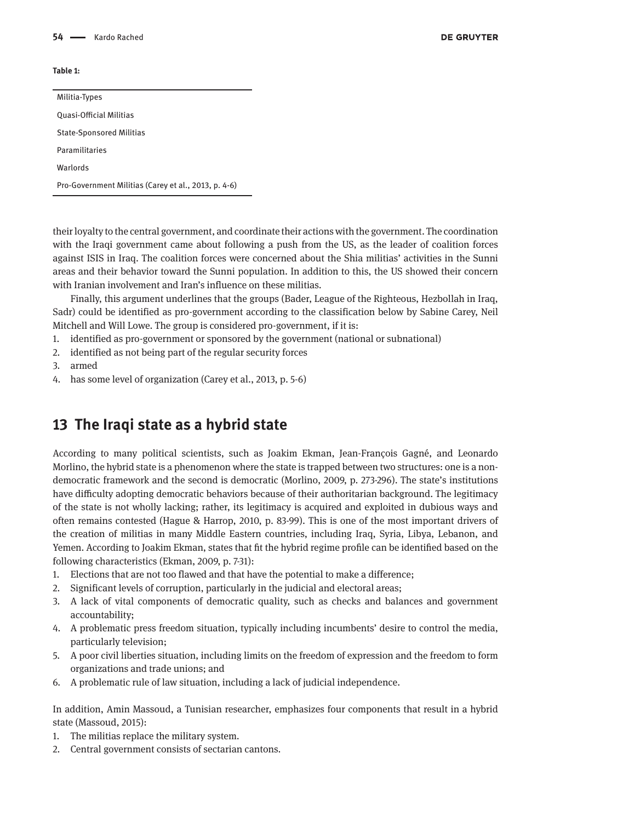54 **- Kardo Rached** 

**DE GRUYTER** 

#### **Table 1:**

| Militia-Types                                        |  |  |  |  |
|------------------------------------------------------|--|--|--|--|
| Quasi-Official Militias                              |  |  |  |  |
| <b>State-Sponsored Militias</b>                      |  |  |  |  |
| <b>Paramilitaries</b>                                |  |  |  |  |
| Warlords                                             |  |  |  |  |
| Pro-Government Militias (Carey et al., 2013, p. 4-6) |  |  |  |  |

their loyalty to the central government, and coordinate their actions with the government. The coordination with the Iraqi government came about following a push from the US, as the leader of coalition forces against ISIS in Iraq. The coalition forces were concerned about the Shia militias' activities in the Sunni areas and their behavior toward the Sunni population. In addition to this, the US showed their concern with Iranian involvement and Iran's influence on these militias.

Finally, this argument underlines that the groups (Bader, League of the Righteous, Hezbollah in Iraq, Sadr) could be identified as pro-government according to the classification below by Sabine Carey, Neil Mitchell and Will Lowe. The group is considered pro-government, if it is:

1. identified as pro-government or sponsored by the government (national or subnational)

- 2. identified as not being part of the regular security forces
- 3. armed
- 4. has some level of organization (Carey et al., 2013, p. 5-6)

# **13 The Iraqi state as a hybrid state**

According to many political scientists, such as Joakim Ekman, Jean-François Gagné, and Leonardo Morlino, the hybrid state is a phenomenon where the state is trapped between two structures: one is a nondemocratic framework and the second is democratic (Morlino, 2009, p. 273-296). The state's institutions have difficulty adopting democratic behaviors because of their authoritarian background. The legitimacy of the state is not wholly lacking; rather, its legitimacy is acquired and exploited in dubious ways and often remains contested (Hague & Harrop, 2010, p. 83-99). This is one of the most important drivers of the creation of militias in many Middle Eastern countries, including Iraq, Syria, Libya, Lebanon, and Yemen. According to Joakim Ekman, states that fit the hybrid regime profile can be identified based on the following characteristics (Ekman, 2009, p. 7-31):

- 1. Elections that are not too flawed and that have the potential to make a difference;
- 2. Significant levels of corruption, particularly in the judicial and electoral areas;
- 3. A lack of vital components of democratic quality, such as checks and balances and government accountability;
- 4. A problematic press freedom situation, typically including incumbents' desire to control the media, particularly television;
- 5. A poor civil liberties situation, including limits on the freedom of expression and the freedom to form organizations and trade unions; and
- 6. A problematic rule of law situation, including a lack of judicial independence.

In addition, Amin Massoud, a Tunisian researcher, emphasizes four components that result in a hybrid state (Massoud, 2015):

- 1. The militias replace the military system.
- 2. Central government consists of sectarian cantons.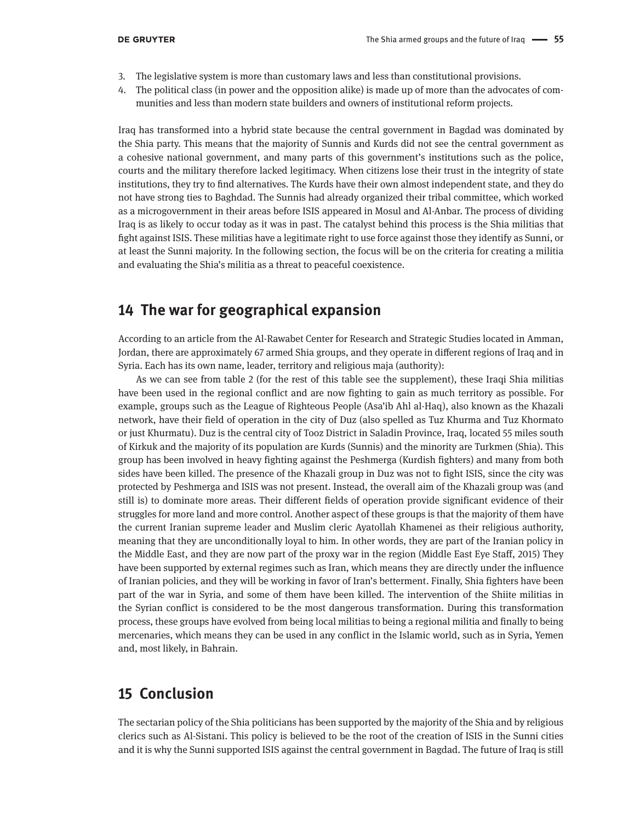- 3. The legislative system is more than customary laws and less than constitutional provisions.
- 4. The political class (in power and the opposition alike) is made up of more than the advocates of communities and less than modern state builders and owners of institutional reform projects.

Iraq has transformed into a hybrid state because the central government in Bagdad was dominated by the Shia party. This means that the majority of Sunnis and Kurds did not see the central government as a cohesive national government, and many parts of this government's institutions such as the police, courts and the military therefore lacked legitimacy. When citizens lose their trust in the integrity of state institutions, they try to find alternatives. The Kurds have their own almost independent state, and they do not have strong ties to Baghdad. The Sunnis had already organized their tribal committee, which worked as a microgovernment in their areas before ISIS appeared in Mosul and Al-Anbar. The process of dividing Iraq is as likely to occur today as it was in past. The catalyst behind this process is the Shia militias that fight against ISIS. These militias have a legitimate right to use force against those they identify as Sunni, or at least the Sunni majority. In the following section, the focus will be on the criteria for creating a militia and evaluating the Shia's militia as a threat to peaceful coexistence.

#### **14 The war for geographical expansion**

According to an article from the Al-Rawabet Center for Research and Strategic Studies located in Amman, Jordan, there are approximately 67 armed Shia groups, and they operate in different regions of Iraq and in Syria. Each has its own name, leader, territory and religious maja (authority):

As we can see from table 2 (for the rest of this table see the supplement), these Iraqi Shia militias have been used in the regional conflict and are now fighting to gain as much territory as possible. For example, groups such as the League of Righteous People (Asa'ib Ahl al-Haq), also known as the Khazali network, have their field of operation in the city of Duz (also spelled as Tuz Khurma and Tuz Khormato or just Khurmatu). Duz is the central city of Tooz District in Saladin Province, Iraq, located 55 miles south of Kirkuk and the majority of its population are Kurds (Sunnis) and the minority are Turkmen (Shia). This group has been involved in heavy fighting against the Peshmerga (Kurdish fighters) and many from both sides have been killed. The presence of the Khazali group in Duz was not to fight ISIS, since the city was protected by Peshmerga and ISIS was not present. Instead, the overall aim of the Khazali group was (and still is) to dominate more areas. Their different fields of operation provide significant evidence of their struggles for more land and more control. Another aspect of these groups is that the majority of them have the current Iranian supreme leader and Muslim cleric Ayatollah Khamenei as their religious authority, meaning that they are unconditionally loyal to him. In other words, they are part of the Iranian policy in the Middle East, and they are now part of the proxy war in the region (Middle East Eye Staff, 2015) They have been supported by external regimes such as Iran, which means they are directly under the influence of Iranian policies, and they will be working in favor of Iran's betterment. Finally, Shia fighters have been part of the war in Syria, and some of them have been killed. The intervention of the Shiite militias in the Syrian conflict is considered to be the most dangerous transformation. During this transformation process, these groups have evolved from being local militias to being a regional militia and finally to being mercenaries, which means they can be used in any conflict in the Islamic world, such as in Syria, Yemen and, most likely, in Bahrain.

#### **15 Conclusion**

The sectarian policy of the Shia politicians has been supported by the majority of the Shia and by religious clerics such as Al-Sistani. This policy is believed to be the root of the creation of ISIS in the Sunni cities and it is why the Sunni supported ISIS against the central government in Bagdad. The future of Iraq is still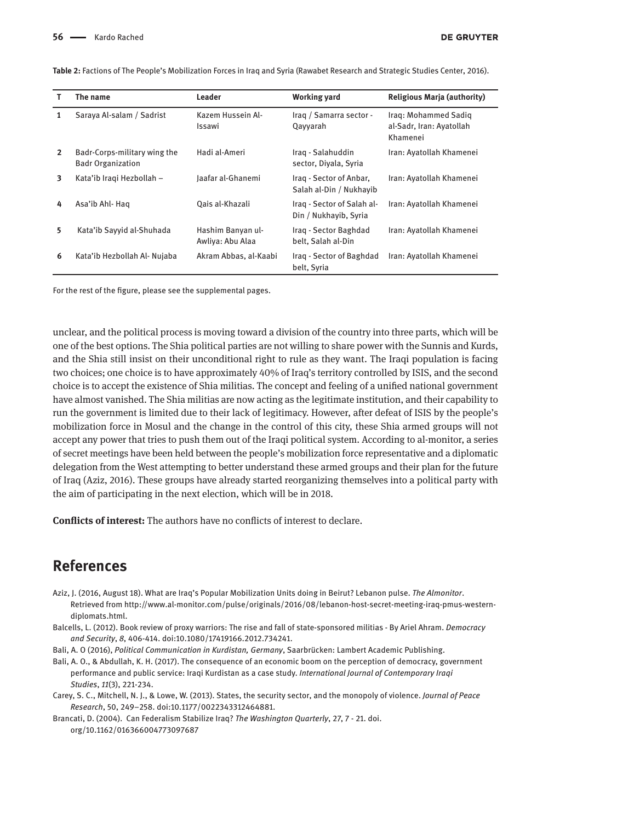| т              | The name                                                 | Leader                                | <b>Working yard</b>                                 | <b>Religious Marja (authority)</b>                           |
|----------------|----------------------------------------------------------|---------------------------------------|-----------------------------------------------------|--------------------------------------------------------------|
| 1              | Saraya Al-salam / Sadrist                                | Kazem Hussein Al-<br>Issawi           | Iraq / Samarra sector -<br>Qayyarah                 | Iraq: Mohammed Sadiq<br>al-Sadr, Iran: Ayatollah<br>Khamenei |
| $\overline{2}$ | Badr-Corps-military wing the<br><b>Badr Organization</b> | Hadi al-Ameri                         | Iraq - Salahuddin<br>sector, Diyala, Syria          | Iran: Ayatollah Khamenei                                     |
| 3              | Kata'ib Iraqi Hezbollah -                                | laafar al-Ghanemi                     | Iraq - Sector of Anbar,<br>Salah al-Din / Nukhayib  | Iran: Ayatollah Khamenei                                     |
| 4              | Asa'ib Ahl-Haq                                           | Oais al-Khazali                       | Iraq - Sector of Salah al-<br>Din / Nukhayib, Syria | Iran: Ayatollah Khamenei                                     |
| 5.             | Kata'ib Sayyid al-Shuhada                                | Hashim Banyan ul-<br>Awliya: Abu Alaa | Iraq - Sector Baghdad<br>belt, Salah al-Din         | Iran: Ayatollah Khamenei                                     |
| 6              | Kata'ib Hezbollah Al- Nujaba                             | Akram Abbas, al-Kaabi                 | Iraq - Sector of Baghdad<br>belt, Syria             | Iran: Avatollah Khamenei                                     |

**Table 2:** Factions of The People's Mobilization Forces in Iraq and Syria (Rawabet Research and Strategic Studies Center, 2016).

For the rest of the figure, please see the supplemental pages.

unclear, and the political process is moving toward a division of the country into three parts, which will be one of the best options. The Shia political parties are not willing to share power with the Sunnis and Kurds, and the Shia still insist on their unconditional right to rule as they want. The Iraqi population is facing two choices; one choice is to have approximately 40% of Iraq's territory controlled by ISIS, and the second choice is to accept the existence of Shia militias. The concept and feeling of a unified national government have almost vanished. The Shia militias are now acting as the legitimate institution, and their capability to run the government is limited due to their lack of legitimacy. However, after defeat of ISIS by the people's mobilization force in Mosul and the change in the control of this city, these Shia armed groups will not accept any power that tries to push them out of the Iraqi political system. According to al-monitor, a series of secret meetings have been held between the people's mobilization force representative and a diplomatic delegation from the West attempting to better understand these armed groups and their plan for the future of Iraq (Aziz, 2016). These groups have already started reorganizing themselves into a political party with the aim of participating in the next election, which will be in 2018.

**Conflicts of interest:** The authors have no conflicts of interest to declare.

# **References**

- Aziz, J. (2016, August 18). What are Iraq's Popular Mobilization Units doing in Beirut? Lebanon pulse. *The Almonitor*. Retrieved from http://www.al-monitor.com/pulse/originals/2016/08/lebanon-host-secret-meeting-iraq-pmus-westerndiplomats.html.
- Balcells, L. (2012). Book review of proxy warriors: The rise and fall of state-sponsored militias By Ariel Ahram. *Democracy and Security*, *8*, 406-414. doi:10.1080/17419166.2012.734241.
- Bali, A. O (2016), *Political Communication in Kurdistan, Germany*, Saarbrücken: Lambert Academic Publishing.
- Bali, A. O., & Abdullah, K. H. (2017). The consequence of an economic boom on the perception of democracy, government performance and public service: Iraqi Kurdistan as a case study. *International Journal of Contemporary Iraqi Studies*, *11*(3), 221-234.
- Carey, S. C., Mitchell, N. J., & Lowe, W. (2013). States, the security sector, and the monopoly of violence. *Journal of Peace Research*, 50, 249–258. doi:10.1177/0022343312464881.
- Brancati, D. (2004). Can Federalism Stabilize Iraq? *The Washington Quarterly*, 27, 7 21. doi. org/10.1162/016366004773097687